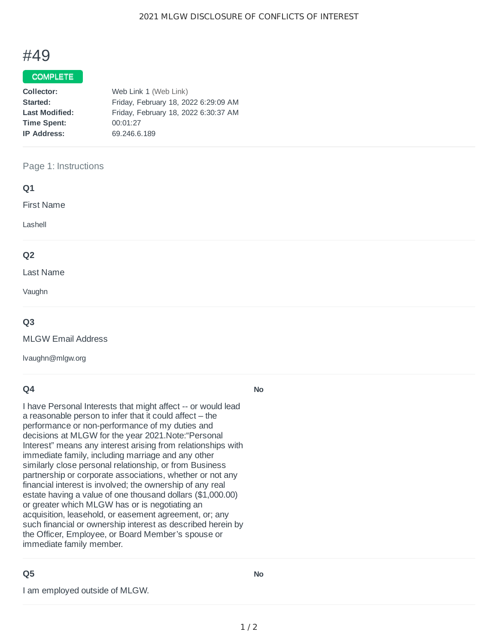# #49

## COMPLETE

| Collector:            | Web Link 1 (Web Link)                |
|-----------------------|--------------------------------------|
| Started:              | Friday, February 18, 2022 6:29:09 AM |
| <b>Last Modified:</b> | Friday, February 18, 2022 6:30:37 AM |
| <b>Time Spent:</b>    | 00:01:27                             |
| <b>IP Address:</b>    | 69.246.6.189                         |
|                       |                                      |

#### Page 1: Instructions

| Q1                |
|-------------------|
| <b>First Name</b> |
| Lashell           |
| Q <sub>2</sub>    |
| Last Name         |

Vaughn

### **Q3**

MLGW Email Address

lvaughn@mlgw.org

## **Q4**

I have Personal Interests that might affect -- or would lead a reasonable person to infer that it could affect – the performance or non-performance of my duties and decisions at MLGW for the year 2021.Note:"Personal Interest" means any interest arising from relationships with immediate family, including marriage and any other similarly close personal relationship, or from Business partnership or corporate associations, whether or not any financial interest is involved; the ownership of any real estate having a value of one thousand dollars (\$1,000.00) or greater which MLGW has or is negotiating an acquisition, leasehold, or easement agreement, or; any such financial or ownership interest as described herein by the Officer, Employee, or Board Member's spouse or immediate family member.

### **Q5**

I am employed outside of MLGW.

**No**

**No**